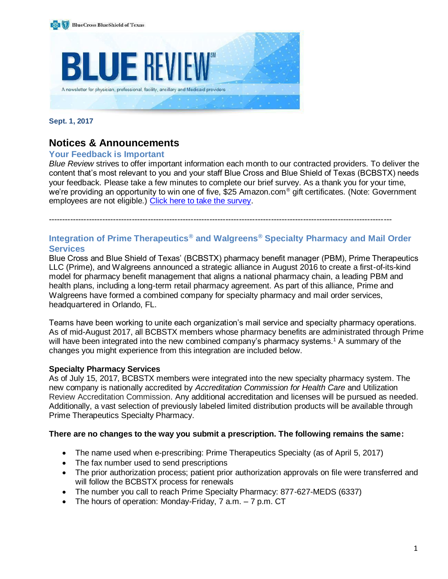

#### **Sept. 1, 2017**

# **Notices & Announcements**

#### **Your Feedback is Important**

*Blue Review* strives to offer important information each month to our contracted providers. To deliver the content that's most relevant to you and your staff Blue Cross and Blue Shield of Texas (BCBSTX) needs your feedback. Please take a few minutes to complete our brief survey. As a thank you for your time, we're providing an opportunity to win one of five, \$25 Amazon.com<sup>®</sup> gift certificates. (Note: Government employees are not eligible.) [Click here to take the survey.](https://www.surveymonkey.com/r/TXBR2017)

--------------------------------------------------------------------------------------------------------------------------------

# **Integration of Prime Therapeutics® and Walgreens® Specialty Pharmacy and Mail Order Services**

Blue Cross and Blue Shield of Texas' (BCBSTX) pharmacy benefit manager (PBM), Prime Therapeutics LLC (Prime), and Walgreens announced a strategic alliance in August 2016 to create a first-of-its-kind model for pharmacy benefit management that aligns a national pharmacy chain, a leading PBM and health plans, including a long-term retail pharmacy agreement. As part of this alliance, Prime and Walgreens have formed a combined company for specialty pharmacy and mail order services, headquartered in Orlando, FL.

Teams have been working to unite each organization's mail service and specialty pharmacy operations. As of mid-August 2017, all BCBSTX members whose pharmacy benefits are administrated through Prime will have been integrated into the new combined company's pharmacy systems.<sup>1</sup> A summary of the changes you might experience from this integration are included below.

#### **Specialty Pharmacy Services**

As of July 15, 2017, BCBSTX members were integrated into the new specialty pharmacy system. The new company is nationally accredited by *Accreditation Commission for Health Care* and Utilization Review Accreditation Commission. Any additional accreditation and licenses will be pursued as needed. Additionally, a vast selection of previously labeled limited distribution products will be available through Prime Therapeutics Specialty Pharmacy.

#### **There are no changes to the way you submit a prescription. The following remains the same:**

- The name used when e-prescribing: Prime Therapeutics Specialty (as of April 5, 2017)
- The fax number used to send prescriptions
- The prior authorization process; patient prior authorization approvals on file were transferred and will follow the BCBSTX process for renewals
- The number you call to reach Prime Specialty Pharmacy: 877-627-MEDS (6337)
- The hours of operation: Monday-Friday, 7 a.m. 7 p.m. CT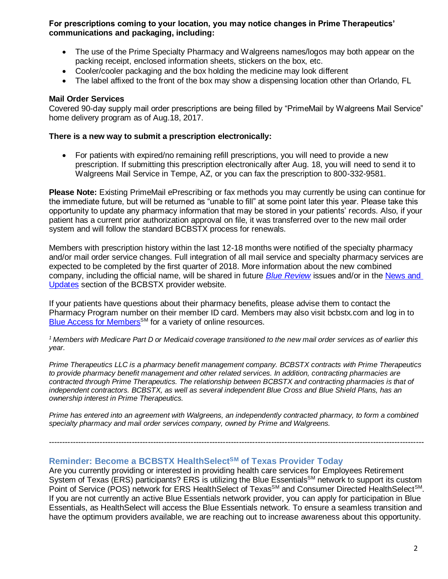**For prescriptions coming to your location, you may notice changes in Prime Therapeutics' communications and packaging, including:**

- The use of the Prime Specialty Pharmacy and Walgreens names/logos may both appear on the packing receipt, enclosed information sheets, stickers on the box, etc.
- Cooler/cooler packaging and the box holding the medicine may look different
- The label affixed to the front of the box may show a dispensing location other than Orlando, FL

#### **Mail Order Services**

Covered 90-day supply mail order prescriptions are being filled by "PrimeMail by Walgreens Mail Service" home delivery program as of Aug.18, 2017.

#### **There is a new way to submit a prescription electronically:**

• For patients with expired/no remaining refill prescriptions, you will need to provide a new prescription. If submitting this prescription electronically after Aug. 18, you will need to send it to Walgreens Mail Service in Tempe, AZ, or you can fax the prescription to 800-332-9581.

**Please Note:** Existing PrimeMail ePrescribing or fax methods you may currently be using can continue for the immediate future, but will be returned as "unable to fill" at some point later this year. Please take this opportunity to update any pharmacy information that may be stored in your patients' records. Also, if your patient has a current prior authorization approval on file, it was transferred over to the new mail order system and will follow the standard BCBSTX process for renewals.

Members with prescription history within the last 12-18 months were notified of the specialty pharmacy and/or mail order service changes. Full integration of all mail service and specialty pharmacy services are expected to be completed by the first quarter of 2018. More information about the new combined company, including the official name, will be shared in future *[Blue Review](https://www.bcbstx.com/provider/news/bluereview.html)* issues and/or in the [News and](https://www.bcbstx.com/provider/news/index.html)  [Updates](https://www.bcbstx.com/provider/news/index.html) section of the BCBSTX provider website.

If your patients have questions about their pharmacy benefits, please advise them to contact the Pharmacy Program number on their member ID card. Members may also visit bcbstx.com and log in to [Blue Access for Members](https://www.bcbstx.com/member)<sup>SM</sup> for a variety of online resources.

*<sup>1</sup> Members with Medicare Part D or Medicaid coverage transitioned to the new mail order services as of earlier this year.*

*Prime Therapeutics LLC is a pharmacy benefit management company. BCBSTX contracts with Prime Therapeutics to provide pharmacy benefit management and other related services. In addition, contracting pharmacies are*  contracted through Prime Therapeutics. The relationship between BCBSTX and contracting pharmacies is that of *independent contractors. BCBSTX, as well as several independent Blue Cross and Blue Shield Plans, has an ownership interest in Prime Therapeutics.* 

*Prime has entered into an agreement with Walgreens, an independently contracted pharmacy, to form a combined specialty pharmacy and mail order services company, owned by Prime and Walgreens.*

--------------------------------------------------------------------------------------------------------------------------------------------

## **Reminder: Become a BCBSTX HealthSelectSM of Texas Provider Today**

Are you currently providing or interested in providing health care services for Employees Retirement System of Texas (ERS) participants? ERS is utilizing the Blue Essentials<sup>SM</sup> network to support its custom Point of Service (POS) network for ERS HealthSelect of Texas<sup>sM</sup> and Consumer Directed HealthSelect<sup>sM</sup>. If you are not currently an active Blue Essentials network provider, you can apply for participation in Blue Essentials, as HealthSelect will access the Blue Essentials network. To ensure a seamless transition and have the optimum providers available, we are reaching out to increase awareness about this opportunity.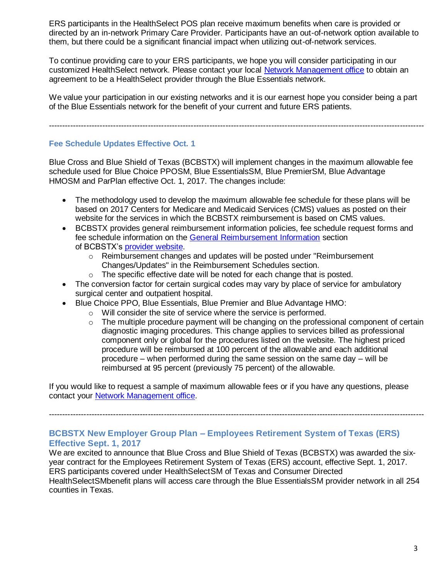ERS participants in the HealthSelect POS plan receive maximum benefits when care is provided or directed by an in-network Primary Care Provider. Participants have an out-of-network option available to them, but there could be a significant financial impact when utilizing out-of-network services.

To continue providing care to your ERS participants, we hope you will consider participating in our customized HealthSelect network. Please contact your local [Network Management office](https://www.bcbstx.com/provider/contact_us.html) to obtain an agreement to be a HealthSelect provider through the Blue Essentials network.

We value your participation in our existing networks and it is our earnest hope you consider being a part of the Blue Essentials network for the benefit of your current and future ERS patients.

--------------------------------------------------------------------------------------------------------------------------------------------

#### **Fee Schedule Updates Effective Oct. 1**

Blue Cross and Blue Shield of Texas (BCBSTX) will implement changes in the maximum allowable fee schedule used for Blue Choice PPOSM, Blue EssentialsSM, Blue PremierSM, Blue Advantage HMOSM and ParPlan effective Oct. 1, 2017. The changes include:

- The methodology used to develop the maximum allowable fee schedule for these plans will be based on 2017 Centers for Medicare and Medicaid Services (CMS) values as posted on their website for the services in which the BCBSTX reimbursement is based on CMS values.
- BCBSTX provides general reimbursement information policies, fee schedule request forms and fee schedule information on the [General Reimbursement Information](https://www.bcbstx.com/provider/gri/index.html) section of BCBSTX's [provider website.](https://www.bcbstx.com/provider/)
	- $\circ$  Reimbursement changes and updates will be posted under "Reimbursement Changes/Updates" in the Reimbursement Schedules section.
	- o The specific effective date will be noted for each change that is posted.
- The conversion factor for certain surgical codes may vary by place of service for ambulatory surgical center and outpatient hospital.
- Blue Choice PPO, Blue Essentials, Blue Premier and Blue Advantage HMO:
	- o Will consider the site of service where the service is performed.
	- $\circ$  The multiple procedure payment will be changing on the professional component of certain diagnostic imaging procedures. This change applies to services billed as professional component only or global for the procedures listed on the website. The highest priced procedure will be reimbursed at 100 percent of the allowable and each additional procedure – when performed during the same session on the same day – will be reimbursed at 95 percent (previously 75 percent) of the allowable.

--------------------------------------------------------------------------------------------------------------------------------------------

If you would like to request a sample of maximum allowable fees or if you have any questions, please contact your [Network Management office.](https://www.bcbstx.com/provider/contact_us.html)

**BCBSTX New Employer Group Plan – Employees Retirement System of Texas (ERS)** 

# **Effective Sept. 1, 2017**

We are excited to announce that Blue Cross and Blue Shield of Texas (BCBSTX) was awarded the sixyear contract for the Employees Retirement System of Texas (ERS) account, effective Sept. 1, 2017. ERS participants covered under HealthSelectSM of Texas and Consumer Directed HealthSelectSMbenefit plans will access care through the Blue EssentialsSM provider network in all 254 counties in Texas.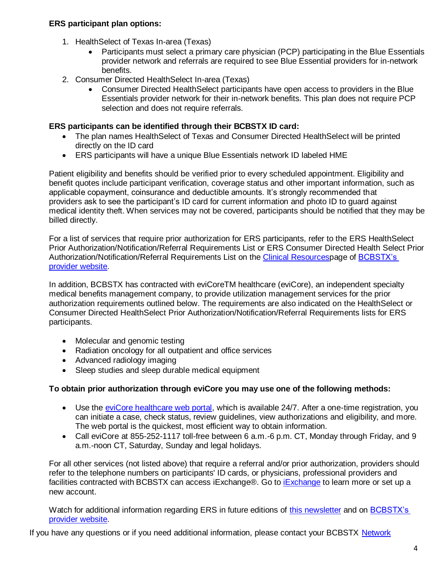## **ERS participant plan options:**

- 1. HealthSelect of Texas In-area (Texas)
	- Participants must select a primary care physician (PCP) participating in the Blue Essentials provider network and referrals are required to see Blue Essential providers for in-network benefits.
- 2. Consumer Directed HealthSelect In-area (Texas)
	- Consumer Directed HealthSelect participants have open access to providers in the Blue Essentials provider network for their in-network benefits. This plan does not require PCP selection and does not require referrals.

## **ERS participants can be identified through their BCBSTX ID card:**

- The plan names HealthSelect of Texas and Consumer Directed HealthSelect will be printed directly on the ID card
- ERS participants will have a unique Blue Essentials network ID labeled HME

Patient eligibility and benefits should be verified prior to every scheduled appointment. Eligibility and benefit quotes include participant verification, coverage status and other important information, such as applicable copayment, coinsurance and deductible amounts. It's strongly recommended that providers ask to see the participant's ID card for current information and photo ID to guard against medical identity theft. When services may not be covered, participants should be notified that they may be billed directly.

For a list of services that require prior authorization for ERS participants, refer to the ERS HealthSelect Prior Authorization/Notification/Referral Requirements List or ERS Consumer Directed Health Select Prior Authorization/Notification/Referral Requirements List on the [Clinical Resourcesp](https://www.bcbstx.com/provider/clinical/index.html)age of [BCBSTX's](https://www.bcbstx.com/provider/)  [provider website.](https://www.bcbstx.com/provider/)

In addition, BCBSTX has contracted with eviCoreTM healthcare (eviCore), an independent specialty medical benefits management company, to provide utilization management services for the prior authorization requirements outlined below. The requirements are also indicated on the HealthSelect or Consumer Directed HealthSelect Prior Authorization/Notification/Referral Requirements lists for ERS participants.

- Molecular and genomic testing
- Radiation oncology for all outpatient and office services
- Advanced radiology imaging
- Sleep studies and sleep durable medical equipment

# **To obtain prior authorization through eviCore you may use one of the following methods:**

- Use the [eviCore healthcare web portal,](https://www.evicore.com/pages/providerlogin.aspx) which is available 24/7. After a one-time registration, you can initiate a case, check status, review guidelines, view authorizations and eligibility, and more. The web portal is the quickest, most efficient way to obtain information.
- Call eviCore at 855-252-1117 toll-free between 6 a.m. -6 p.m. CT, Monday through Friday, and 9 a.m.-noon CT, Saturday, Sunday and legal holidays.

For all other services (not listed above) that require a referral and/or prior authorization, providers should refer to the telephone numbers on participants' ID cards, or physicians, professional providers and facilities contracted with BCBSTX can access [iExchange](https://www.bcbstx.com/provider/tools/iexchange_index.html)®. Go to iExchange to learn more or set up a new account.

Watch for additional information regarding ERS in future editions of [this newsletter](https://www.bcbstx.com/provider/news/bluereview.html) and on BCBSTX's [provider website.](https://www.bcbstx.com/provider/)

If you have any questions or if you need additional information, please contact your BCBSTX [Network](https://www.bcbstx.com/provider/contact_us.html)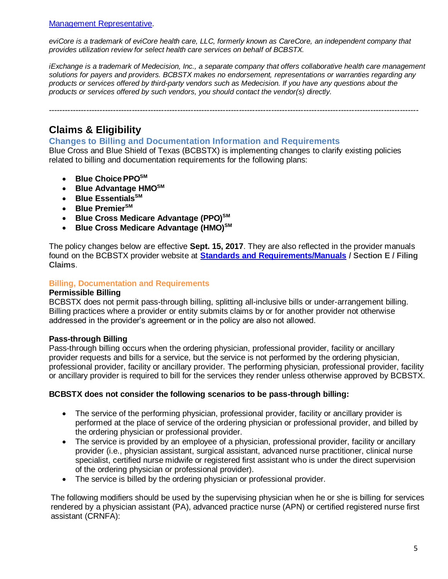#### [Management Representative.](https://www.bcbstx.com/provider/contact_us.html)

*eviCore is a trademark of eviCore health care, LLC, formerly known as CareCore, an independent company that provides utilization review for select health care services on behalf of BCBSTX.*

*iExchange is a trademark of Medecision, Inc., a separate company that offers collaborative health care management solutions for payers and providers. BCBSTX makes no endorsement, representations or warranties regarding any products or services offered by third-party vendors such as Medecision. If you have any questions about the products or services offered by such vendors, you should contact the vendor(s) directly.*

------------------------------------------------------------------------------------------------------------------------------------------

# **Claims & Eligibility**

#### **Changes to Billing and Documentation Information and Requirements**

Blue Cross and Blue Shield of Texas (BCBSTX) is implementing changes to clarify existing policies related to billing and documentation requirements for the following plans:

- **Blue ChoicePPOSM**
- **Blue Advantage HMOSM**
- **Blue EssentialsSM**
- **Blue PremierSM**
- **Blue Cross Medicare Advantage (PPO)SM**
- **Blue Cross Medicare Advantage (HMO)SM**

The policy changes below are effective **Sept. 15, 2017**. They are also reflected in the provider manuals found on the BCBSTX provider website at **[Standards and Requirements/Manuals](https://www.bcbstx.com/provider/gri/index.html) / Section E / Filing Claims**.

#### **Billing, Documentation and Requirements**

#### **Permissible Billing**

BCBSTX does not permit pass-through billing, splitting all-inclusive bills or under-arrangement billing. Billing practices where a provider or entity submits claims by or for another provider not otherwise addressed in the provider's agreement or in the policy are also not allowed.

#### **Pass-through Billing**

Pass-through billing occurs when the ordering physician, professional provider, facility or ancillary provider requests and bills for a service, but the service is not performed by the ordering physician, professional provider, facility or ancillary provider. The performing physician, professional provider, facility or ancillary provider is required to bill for the services they render unless otherwise approved by BCBSTX.

#### **BCBSTX does not consider the following scenarios to be pass-through billing:**

- The service of the performing physician, professional provider, facility or ancillary provider is performed at the place of service of the ordering physician or professional provider, and billed by the ordering physician or professional provider.
- The service is provided by an employee of a physician, professional provider, facility or ancillary provider (i.e., physician assistant, surgical assistant, advanced nurse practitioner, clinical nurse specialist, certified nurse midwife or registered first assistant who is under the direct supervision of the ordering physician or professional provider).
- The service is billed by the ordering physician or professional provider.

The following modifiers should be used by the supervising physician when he or she is billing for services rendered by a physician assistant (PA), advanced practice nurse (APN) or certified registered nurse first assistant (CRNFA):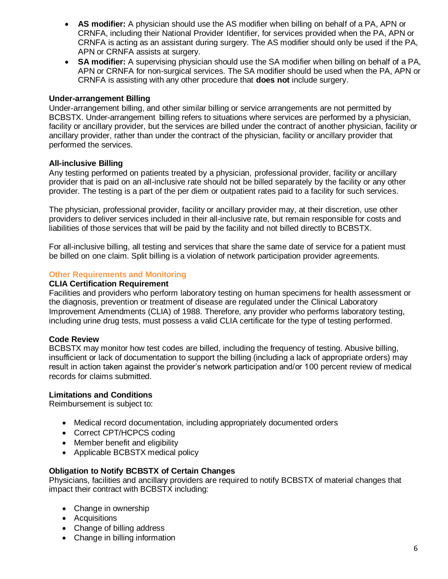- **AS modifier:** A physician should use the AS modifier when billing on behalf of a PA, APN or CRNFA, including their National Provider Identifier, for services provided when the PA, APN or CRNFA is acting as an assistant during surgery. The AS modifier should only be used if the PA, APN or CRNFA assists at surgery.
- **SA modifier:** A supervising physician should use the SA modifier when billing on behalf of a PA, APN or CRNFA for non-surgical services. The SA modifier should be used when the PA, APN or CRNFA is assisting with any other procedure that **does not** include surgery.

#### **Under-arrangement Billing**

Under-arrangement billing, and other similar billing or service arrangements are not permitted by BCBSTX. Under-arrangement billing refers to situations where services are performed by a physician, facility or ancillary provider, but the services are billed under the contract of another physician, facility or ancillary provider, rather than under the contract of the physician, facility or ancillary provider that performed the services.

#### **All-inclusive Billing**

Any testing performed on patients treated by a physician, professional provider, facility or ancillary provider that is paid on an all-inclusive rate should not be billed separately by the facility or any other provider. The testing is a part of the per diem or outpatient rates paid to a facility for such services.

The physician, professional provider, facility or ancillary provider may, at their discretion, use other providers to deliver services included in their all-inclusive rate, but remain responsible for costs and liabilities of those services that will be paid by the facility and not billed directly to BCBSTX.

For all-inclusive billing, all testing and services that share the same date of service for a patient must be billed on one claim. Split billing is a violation of network participation provider agreements.

#### **Other Requirements and Monitoring**

#### **CLIA Certification Requirement**

Facilities and providers who perform laboratory testing on human specimens for health assessment or the diagnosis, prevention or treatment of disease are regulated under the Clinical Laboratory Improvement Amendments (CLIA) of 1988. Therefore, any provider who performs laboratory testing, including urine drug tests, must possess a valid CLIA certificate for the type of testing performed.

#### **Code Review**

BCBSTX may monitor how test codes are billed, including the frequency of testing. Abusive billing, insufficient or lack of documentation to support the billing (including a lack of appropriate orders) may result in action taken against the provider's network participation and/or 100 percent review of medical records for claims submitted.

#### **Limitations and Conditions**

Reimbursement is subject to:

- Medical record documentation, including appropriately documented orders
- Correct CPT/HCPCS coding
- Member benefit and eligibility
- Applicable BCBSTX medical policy

#### **Obligation to Notify BCBSTX of Certain Changes**

Physicians, facilities and ancillary providers are required to notify BCBSTX of material changes that impact their contract with BCBSTX including:

- Change in ownership
- Acquisitions
- Change of billing address
- Change in billing information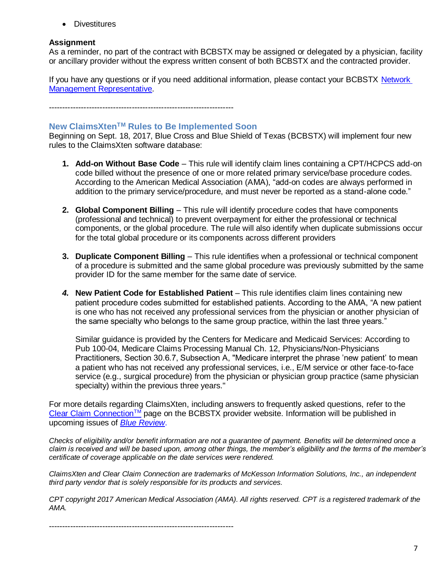• Divestitures

#### **Assignment**

As a reminder, no part of the contract with BCBSTX may be assigned or delegated by a physician, facility or ancillary provider without the express written consent of both BCBSTX and the contracted provider.

If you have any questions or if you need additional information, please contact your BCBSTX Network [Management Representative.](https://www.bcbstx.com/provider/contact_us.html)

---------------------------------------------------------------------

# **New ClaimsXtenTM Rules to Be Implemented Soon**

Beginning on Sept. 18, 2017, Blue Cross and Blue Shield of Texas (BCBSTX) will implement four new rules to the ClaimsXten software database:

- **1. Add-on Without Base Code**  This rule will identify claim lines containing a CPT/HCPCS add-on code billed without the presence of one or more related primary service/base procedure codes. According to the American Medical Association (AMA), "add-on codes are always performed in addition to the primary service/procedure, and must never be reported as a stand-alone code."
- **2. Global Component Billing** This rule will identify procedure codes that have components (professional and technical) to prevent overpayment for either the professional or technical components, or the global procedure. The rule will also identify when duplicate submissions occur for the total global procedure or its components across different providers
- **3. Duplicate Component Billing**  This rule identifies when a professional or technical component of a procedure is submitted and the same global procedure was previously submitted by the same provider ID for the same member for the same date of service.
- *4.* **New Patient Code for Established Patient** This rule identifies claim lines containing new patient procedure codes submitted for established patients. According to the AMA, "A new patient is one who has not received any professional services from the physician or another physician of the same specialty who belongs to the same group practice, within the last three years."

Similar guidance is provided by the Centers for Medicare and Medicaid Services: According to Pub 100-04, Medicare Claims Processing Manual Ch. 12, Physicians/Non-Physicians Practitioners, Section 30.6.7, Subsection A, "Medicare interpret the phrase 'new patient' to mean a patient who has not received any professional services, i.e., E/M service or other face-to-face service (e.g., surgical procedure) from the physician or physician group practice (same physician specialty) within the previous three years."

For more details regarding ClaimsXten, including answers to frequently asked questions, refer to the  $C$ lear Claim Connection<sup>TM</sup> page on the BCBSTX provider website. Information will be published in upcoming issues of *[Blue Review](https://www.bcbstx.com/provider/news/bluereview.html)*.

*Checks of eligibility and/or benefit information are not a guarantee of payment. Benefits will be determined once a claim is received and will be based upon, among other things, the member's eligibility and the terms of the member's certificate of coverage applicable on the date services were rendered.*

*ClaimsXten and Clear Claim Connection are trademarks of McKesson Information Solutions, Inc., an independent third party vendor that is solely responsible for its products and services.*

*CPT copyright 2017 American Medical Association (AMA). All rights reserved. CPT is a registered trademark of the AMA.*

---------------------------------------------------------------------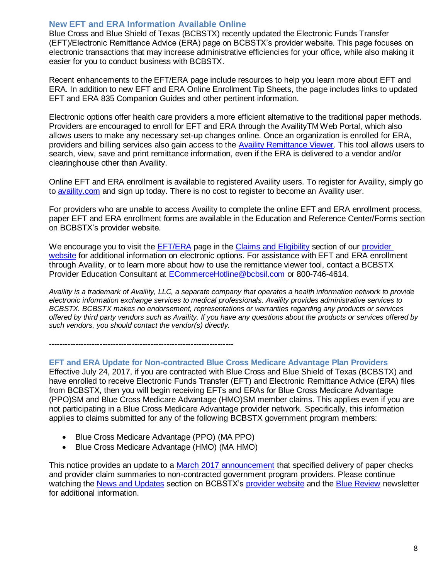# **New EFT and ERA Information Available Online**

Blue Cross and Blue Shield of Texas (BCBSTX) recently updated the Electronic Funds Transfer (EFT)/Electronic Remittance Advice (ERA) page on BCBSTX's provider website. This page focuses on electronic transactions that may increase administrative efficiencies for your office, while also making it easier for you to conduct business with BCBSTX.

Recent enhancements to the EFT/ERA page include resources to help you learn more about EFT and ERA. In addition to new EFT and ERA Online Enrollment Tip Sheets, the page includes links to updated EFT and ERA 835 Companion Guides and other pertinent information.

Electronic options offer health care providers a more efficient alternative to the traditional paper methods. Providers are encouraged to enroll for EFT and ERA through the AvailityTM Web Portal, which also allows users to make any necessary set-up changes online. Once an organization is enrolled for ERA, providers and billing services also gain access to the [Availity Remittance Viewer](https://www.bcbstx.com/provider/tools/remittance_viewer_webinars.html). This tool allows users to search, view, save and print remittance information, even if the ERA is delivered to a vendor and/or clearinghouse other than Availity.

Online EFT and ERA enrollment is available to registered Availity users. To register for Availity, simply go to [availity.com](https://www.availity.com/) and sign up today. There is no cost to register to become an Availity user.

For providers who are unable to access Availity to complete the online EFT and ERA enrollment process, paper EFT and ERA enrollment forms are available in the Education and Reference Center/Forms section on BCBSTX's provider website.

We encourage you to visit the [EFT/ERA](https://www.bcbstx.com/provider/claims/era.html) page in the [Claims and Eligibility](https://www.bcbstx.com/provider/claims/index.html) section of our provider [website](https://www.bcbstx.com/provider/) for additional information on electronic options. For assistance with EFT and ERA enrollment through Availity, or to learn more about how to use the remittance viewer tool, contact a BCBSTX Provider Education Consultant at [ECommerceHotline@bcbsil.com](https://www.bcbsil.com/provider/claims/electronic_commerce.html) or 800-746-4614.

*Availity is a trademark of Availity, LLC, a separate company that operates a health information network to provide electronic information exchange services to medical professionals. Availity provides administrative services to BCBSTX. BCBSTX makes no endorsement, representations or warranties regarding any products or services offered by third party vendors such as Availity. If you have any questions about the products or services offered by such vendors, you should contact the vendor(s) directly.*

---------------------------------------------------------------------

#### **EFT and ERA Update for Non-contracted Blue Cross Medicare Advantage Plan Providers**

Effective July 24, 2017, if you are contracted with Blue Cross and Blue Shield of Texas (BCBSTX) and have enrolled to receive Electronic Funds Transfer (EFT) and Electronic Remittance Advice (ERA) files from BCBSTX, then you will begin receiving EFTs and ERAs for Blue Cross Medicare Advantage (PPO)SM and Blue Cross Medicare Advantage (HMO)SM member claims. This applies even if you are not participating in a Blue Cross Medicare Advantage provider network. Specifically, this information applies to claims submitted for any of the following BCBSTX government program members:

- Blue Cross Medicare Advantage (PPO) (MA PPO)
- Blue Cross Medicare Advantage (HMO) (MA HMO)

This notice provides an update to a [March 2017 announcement](https://www.bcbstx.com/provider/news/2017_03_10.html) that specified delivery of paper checks and provider claim summaries to non-contracted government program providers. Please continue watching the [News and Updates](https://www.bcbstx.com/provider/news/index.html) section on BCBSTX's [provider website](https://www.bcbstx.com/provider/) and the [Blue Review](https://www.bcbstx.com/provider/news/bluereview.html) newsletter for additional information.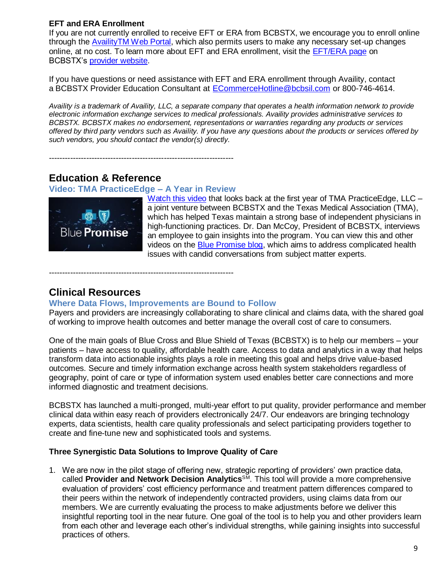# **EFT and ERA Enrollment**

If you are not currently enrolled to receive EFT or ERA from BCBSTX, we encourage you to enroll online through the AvailityTM [Web Portal,](https://www.availity.com/) which also permits users to make any necessary set-up changes online, at no cost. To learn more about EFT and ERA enrollment, visit the [EFT/ERA page](https://www.bcbstx.com/provider/claims/era.html) on BCBSTX's [provider website.](https://www.bcbstx.com/provider/)

If you have questions or need assistance with EFT and ERA enrollment through Availity, contact a BCBSTX Provider Education Consultant at [ECommerceHotline@bcbsil.com](https://www.bcbsil.com/provider/claims/electronic_commerce.html) or 800-746-4614.

*Availity is a trademark of Availity, LLC, a separate company that operates a health information network to provide electronic information exchange services to medical professionals. Availity provides administrative services to BCBSTX. BCBSTX makes no endorsement, representations or warranties regarding any products or services offered by third party vendors such as Availity. If you have any questions about the products or services offered by such vendors, you should contact the vendor(s) directly.*

# **Education & Reference**

## **Video: TMA PracticeEdge – A Year in Review**

---------------------------------------------------------------------



[Watch this video](https://www.youtube.com/watch?v=2kFgu9FlKq4&feature=youtu.be) that looks back at the first year of TMA PracticeEdge, LLC a joint venture between BCBSTX and the Texas Medical Association (TMA), which has helped Texas maintain a strong base of independent physicians in high-functioning practices. Dr. Dan McCoy, President of BCBSTX, interviews an employee to gain insights into the program. You can view this and other videos on the [Blue Promise blog,](https://connect.bcbstx.com/in-the-community/m/bluepromise) which aims to address complicated health issues with candid conversations from subject matter experts.

---------------------------------------------------------------------

# **Clinical Resources**

#### **Where Data Flows, Improvements are Bound to Follow**

Payers and providers are increasingly collaborating to share clinical and claims data, with the shared goal of working to improve health outcomes and better manage the overall cost of care to consumers.

One of the main goals of Blue Cross and Blue Shield of Texas (BCBSTX) is to help our members – your patients – have access to quality, affordable health care. Access to data and analytics in a way that helps transform data into actionable insights plays a role in meeting this goal and helps drive value-based outcomes. Secure and timely information exchange across health system stakeholders regardless of geography, point of care or type of information system used enables better care connections and more informed diagnostic and treatment decisions.

BCBSTX has launched a multi-pronged, multi-year effort to put quality, provider performance and member clinical data within easy reach of providers electronically 24/7. Our endeavors are bringing technology experts, data scientists, health care quality professionals and select participating providers together to create and fine-tune new and sophisticated tools and systems.

# **Three Synergistic Data Solutions to Improve Quality of Care**

1. We are now in the pilot stage of offering new, strategic reporting of providers' own practice data, called **Provider and Network Decision Analytics**<sup>SM</sup>. This tool will provide a more comprehensive evaluation of providers' cost efficiency performance and treatment pattern differences compared to their peers within the network of independently contracted providers, using claims data from our members. We are currently evaluating the process to make adjustments before we deliver this insightful reporting tool in the near future. One goal of the tool is to help you and other providers learn from each other and leverage each other's individual strengths, while gaining insights into successful practices of others.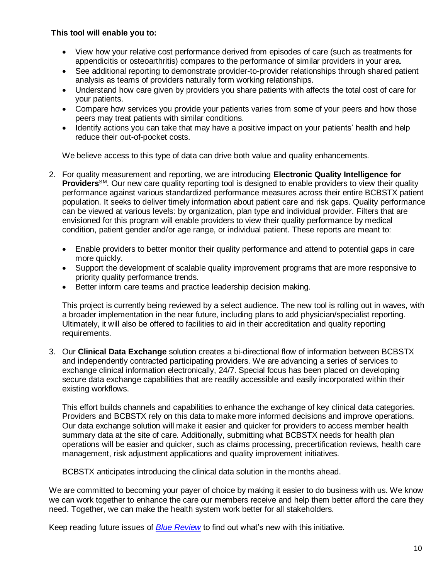## **This tool will enable you to:**

- View how your relative cost performance derived from episodes of care (such as treatments for appendicitis or osteoarthritis) compares to the performance of similar providers in your area.
- See additional reporting to demonstrate provider-to-provider relationships through shared patient analysis as teams of providers naturally form working relationships.
- Understand how care given by providers you share patients with affects the total cost of care for your patients.
- Compare how services you provide your patients varies from some of your peers and how those peers may treat patients with similar conditions.
- Identify actions you can take that may have a positive impact on your patients' health and help reduce their out-of-pocket costs.

We believe access to this type of data can drive both value and quality enhancements.

- 2. For quality measurement and reporting, we are introducing **Electronic Quality Intelligence for Providers**<sup>SM</sup>. Our new care quality reporting tool is designed to enable providers to view their quality performance against various standardized performance measures across their entire BCBSTX patient population. It seeks to deliver timely information about patient care and risk gaps. Quality performance can be viewed at various levels: by organization, plan type and individual provider. Filters that are envisioned for this program will enable providers to view their quality performance by medical condition, patient gender and/or age range, or individual patient. These reports are meant to:
	- Enable providers to better monitor their quality performance and attend to potential gaps in care more quickly.
	- Support the development of scalable quality improvement programs that are more responsive to priority quality performance trends.
	- Better inform care teams and practice leadership decision making.

This project is currently being reviewed by a select audience. The new tool is rolling out in waves, with a broader implementation in the near future, including plans to add physician/specialist reporting. Ultimately, it will also be offered to facilities to aid in their accreditation and quality reporting requirements.

3. Our **Clinical Data Exchange** solution creates a bi-directional flow of information between BCBSTX and independently contracted participating providers. We are advancing a series of services to exchange clinical information electronically, 24/7. Special focus has been placed on developing secure data exchange capabilities that are readily accessible and easily incorporated within their existing workflows.

This effort builds channels and capabilities to enhance the exchange of key clinical data categories. Providers and BCBSTX rely on this data to make more informed decisions and improve operations. Our data exchange solution will make it easier and quicker for providers to access member health summary data at the site of care. Additionally, submitting what BCBSTX needs for health plan operations will be easier and quicker, such as claims processing, precertification reviews, health care management, risk adjustment applications and quality improvement initiatives.

BCBSTX anticipates introducing the clinical data solution in the months ahead.

We are committed to becoming your payer of choice by making it easier to do business with us. We know we can work together to enhance the care our members receive and help them better afford the care they need. Together, we can make the health system work better for all stakeholders.

Keep reading future issues of *[Blue Review](https://www.bcbstx.com/provider/news/bluereview.html)* to find out what's new with this initiative.